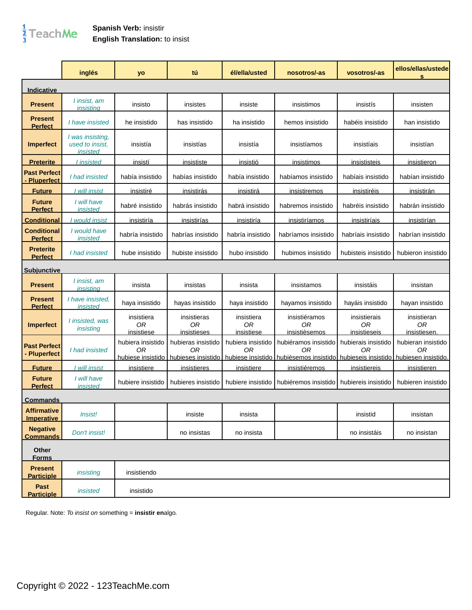## $\frac{1}{3}$ TeachMe

## **Spanish Verb:** insistir **English Translation:** to insist

|                                          | inglés                                          | yo                                           | tú                                             | él/ella/usted                                | nosotros/-as                                                                               | vosotros/-as                       | ellos/ellas/ustede<br>s                 |
|------------------------------------------|-------------------------------------------------|----------------------------------------------|------------------------------------------------|----------------------------------------------|--------------------------------------------------------------------------------------------|------------------------------------|-----------------------------------------|
| Indicative                               |                                                 |                                              |                                                |                                              |                                                                                            |                                    |                                         |
| <b>Present</b>                           | I insist, am<br>insistina                       | insisto                                      | insistes                                       | insiste                                      | insistimos                                                                                 | insistís                           | insisten                                |
| <b>Present</b><br><b>Perfect</b>         | I have insisted                                 | he insistido                                 | has insistido                                  | ha insistido                                 | hemos insistido                                                                            | habéis insistido                   | han insistido                           |
| <b>Imperfect</b>                         | I was insisting.<br>used to insist.<br>insisted | insistía                                     | insistías                                      | insistía                                     | insistíamos                                                                                | insistíais                         | insistían                               |
| <b>Preterite</b>                         | <u>l insisted</u>                               | <u>insistí</u>                               | <u>insististe</u>                              | <u>insistió</u>                              | <u>insistimos</u>                                                                          | <u>insististeis</u>                | <u>insistieron</u>                      |
| <b>Past Perfect</b><br><b>Pluperfect</b> | I had insisted                                  | había insistido                              | habías insistido                               | había insistido                              | habíamos insistido                                                                         | habíais insistido                  | habían insistido                        |
| <b>Future</b>                            | I will insist                                   | insistiré                                    | <i>insistirás</i>                              | <u>insistirá</u>                             | <u>insistiremos</u>                                                                        | <u>insistiréis</u>                 | <u>insistirán</u>                       |
| <b>Future</b><br><b>Perfect</b>          | I will have<br><i>insisted</i>                  | habré insistido                              | habrás insistido                               | habrá insistido                              | habremos insistido                                                                         | habréis insistido                  | habrán insistido                        |
| <u>Conditional</u>                       | would insist                                    | <u>insistiría</u>                            | insistirías                                    | <u>insistiría</u>                            | <u>insistiríamos</u>                                                                       | <u>insistiríais</u>                | insistirían                             |
| <b>Conditional</b><br><b>Perfect</b>     | I would have<br>insisted                        | habría insistido                             | habrías insistido                              | habría insistido                             | habríamos insistido                                                                        | habríais insistido                 | habrían insistido                       |
| <b>Preterite</b><br><b>Perfect</b>       | I had insisted                                  | hube insistido                               | hubiste insistido                              | hubo insistido                               | hubimos insistido                                                                          | hubisteis insistido                | hubieron insistido                      |
| <b>Subjunctive</b>                       |                                                 |                                              |                                                |                                              |                                                                                            |                                    |                                         |
| <b>Present</b>                           | I insist, am<br>insistina                       | insista                                      | insistas                                       | insista                                      | insistamos                                                                                 | insistáis                          | insistan                                |
| <b>Present</b><br><b>Perfect</b>         | I have insisted.<br>insisted                    | haya insistido                               | hayas insistido                                | haya insistido                               | hayamos insistido                                                                          | hayáis insistido                   | hayan insistido                         |
| <b>Imperfect</b>                         | I insisted, was<br>insisting                    | insistiera<br><b>OR</b><br>insistiese        | insistieras<br>0 <sub>R</sub><br>insistieses   | insistiera<br><b>OR</b><br>insistiese        | insistiéramos<br>0R<br>insistièsemos                                                       | insistierais<br>0R<br>insistieseis | insistieran<br><b>OR</b><br>insistiesen |
| <b>Past Perfect</b><br><b>Pluperfect</b> | I had insisted                                  | hubiera insistido<br>0R<br>hubiese insistido | hubieras insistido<br>0R<br>hubieses insistido | hubiera insistido<br>0R<br>hubiese insistido | hubiéramos insistido<br>ΩR<br>hubièsemos insistido hubieseis insistido hubiesen insistido. | hubierais insistido<br>ΟR          | hubieran insistido<br>0R                |
| <b>Future</b>                            | I will insist                                   | insistiere                                   | <u>insistieres</u>                             | <u>insistiere</u>                            | insistiéremos                                                                              | <i>insistiereis</i>                | insistieren                             |
| <b>Future</b><br><b>Perfect</b>          | I will have<br>insisted                         | hubiere insistido                            | hubieres insistido                             | hubiere insistido                            | hubiéremos insistido                                                                       | hubiereis insistido                | hubieren insistido                      |
| <u>Commands</u>                          |                                                 |                                              |                                                |                                              |                                                                                            |                                    |                                         |
| <b>Affirmative</b><br><b>Imperative</b>  | <i>Insist!</i>                                  |                                              | insiste                                        | insista                                      |                                                                                            | insistid                           | insistan                                |
| <b>Negative</b><br><b>Commands</b>       | Don't insist!                                   |                                              | no insistas                                    | no insista                                   |                                                                                            | no insistáis                       | no insistan                             |
| Other<br><b>Forms</b>                    |                                                 |                                              |                                                |                                              |                                                                                            |                                    |                                         |
| <b>Present</b><br><b>Participle</b>      | insisting                                       | insistiendo                                  |                                                |                                              |                                                                                            |                                    |                                         |
| Past<br><b>Participle</b>                | insisted                                        | insistido                                    |                                                |                                              |                                                                                            |                                    |                                         |

Regular. Note: To insist on something = **insistir en**algo.